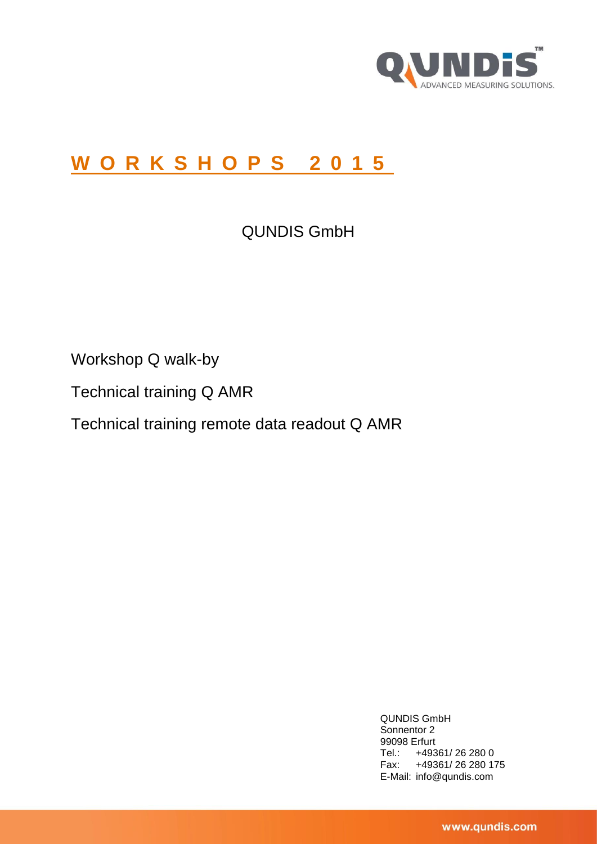

# **W O R K S H O P S 201 5**

QUNDIS GmbH

Workshop Q walk-by

Technical training Q AMR

Technical training remote data readout Q AMR

QUNDIS GmbH Sonnentor 2 99098 Erfurt Tel.: +49361/ 26 280 0 Fax: +49361/ 26 280 175 E-Mail: info@qundis.com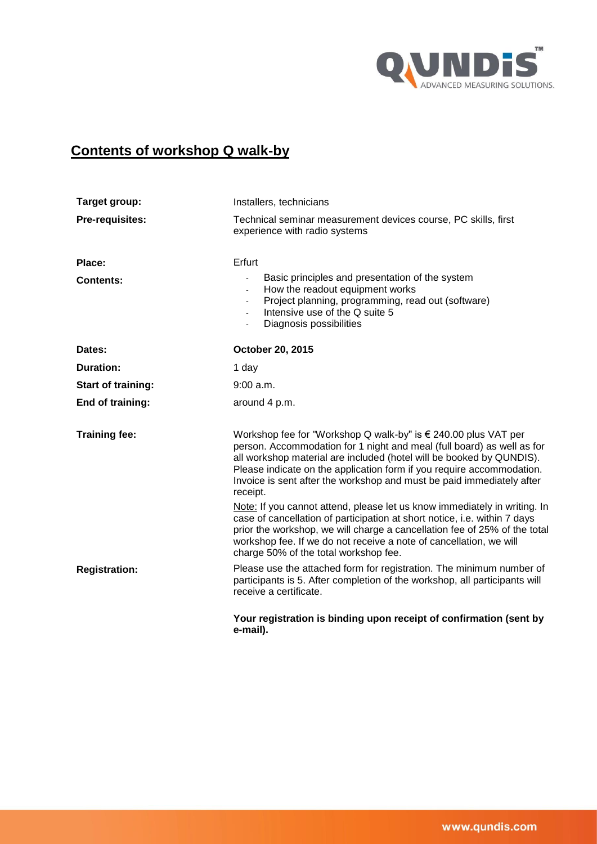

## **Contents of workshop Q walk-by**

| Target group:             | Installers, technicians                                                                                                                                                                                                                                                                                                                                                        |  |  |  |
|---------------------------|--------------------------------------------------------------------------------------------------------------------------------------------------------------------------------------------------------------------------------------------------------------------------------------------------------------------------------------------------------------------------------|--|--|--|
| Pre-requisites:           | Technical seminar measurement devices course, PC skills, first<br>experience with radio systems                                                                                                                                                                                                                                                                                |  |  |  |
| Place:                    | Erfurt                                                                                                                                                                                                                                                                                                                                                                         |  |  |  |
| <b>Contents:</b>          | Basic principles and presentation of the system<br>How the readout equipment works<br>$\blacksquare$<br>Project planning, programming, read out (software)<br>Intensive use of the Q suite 5<br>$\blacksquare$<br>Diagnosis possibilities                                                                                                                                      |  |  |  |
| Dates:                    | October 20, 2015                                                                                                                                                                                                                                                                                                                                                               |  |  |  |
| <b>Duration:</b>          | 1 day                                                                                                                                                                                                                                                                                                                                                                          |  |  |  |
| <b>Start of training:</b> | $9:00$ a.m.                                                                                                                                                                                                                                                                                                                                                                    |  |  |  |
| End of training:          | around 4 p.m.                                                                                                                                                                                                                                                                                                                                                                  |  |  |  |
| <b>Training fee:</b>      | Workshop fee for "Workshop Q walk-by" is € 240.00 plus VAT per<br>person. Accommodation for 1 night and meal (full board) as well as for<br>all workshop material are included (hotel will be booked by QUNDIS).<br>Please indicate on the application form if you require accommodation.<br>Invoice is sent after the workshop and must be paid immediately after<br>receipt. |  |  |  |
|                           | Note: If you cannot attend, please let us know immediately in writing. In<br>case of cancellation of participation at short notice, i.e. within 7 days<br>prior the workshop, we will charge a cancellation fee of 25% of the total<br>workshop fee. If we do not receive a note of cancellation, we will<br>charge 50% of the total workshop fee.                             |  |  |  |
| <b>Registration:</b>      | Please use the attached form for registration. The minimum number of<br>participants is 5. After completion of the workshop, all participants will<br>receive a certificate.                                                                                                                                                                                                   |  |  |  |
|                           | Your registration is binding upon receipt of confirmation (sent by<br>e-mail).                                                                                                                                                                                                                                                                                                 |  |  |  |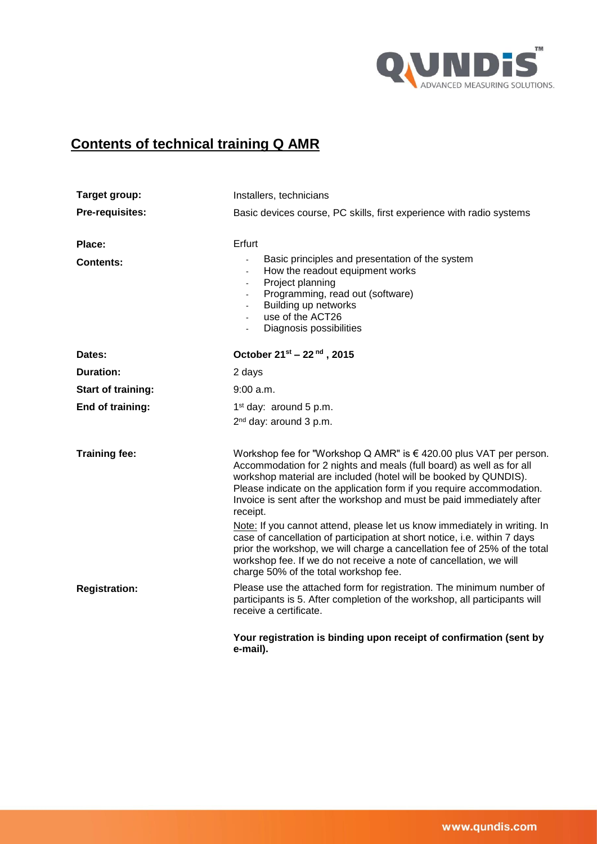

## **Contents of technical training Q AMR**

| Target group:              | Installers, technicians                                                                                                                                                                                                                                                                                                                                                      |  |  |  |
|----------------------------|------------------------------------------------------------------------------------------------------------------------------------------------------------------------------------------------------------------------------------------------------------------------------------------------------------------------------------------------------------------------------|--|--|--|
| <b>Pre-requisites:</b>     | Basic devices course, PC skills, first experience with radio systems                                                                                                                                                                                                                                                                                                         |  |  |  |
| Place:<br><b>Contents:</b> | Erfurt<br>Basic principles and presentation of the system<br>$\blacksquare$<br>How the readout equipment works<br>$\blacksquare$<br>Project planning<br>٠<br>Programming, read out (software)<br>Building up networks<br>$\blacksquare$<br>use of the ACT26<br>Diagnosis possibilities<br>$\blacksquare$                                                                     |  |  |  |
| Dates:                     | October 21 <sup>st</sup> - 22 <sup>nd</sup> , 2015                                                                                                                                                                                                                                                                                                                           |  |  |  |
| <b>Duration:</b>           | 2 days                                                                                                                                                                                                                                                                                                                                                                       |  |  |  |
| <b>Start of training:</b>  | 9:00 a.m.                                                                                                                                                                                                                                                                                                                                                                    |  |  |  |
| End of training:           | $1st$ day: around 5 p.m.<br>2 <sup>nd</sup> day: around 3 p.m.                                                                                                                                                                                                                                                                                                               |  |  |  |
| <b>Training fee:</b>       | Workshop fee for "Workshop Q AMR" is € 420.00 plus VAT per person.<br>Accommodation for 2 nights and meals (full board) as well as for all<br>workshop material are included (hotel will be booked by QUNDIS).<br>Please indicate on the application form if you require accommodation.<br>Invoice is sent after the workshop and must be paid immediately after<br>receipt. |  |  |  |
|                            | Note: If you cannot attend, please let us know immediately in writing. In<br>case of cancellation of participation at short notice, i.e. within 7 days<br>prior the workshop, we will charge a cancellation fee of 25% of the total<br>workshop fee. If we do not receive a note of cancellation, we will<br>charge 50% of the total workshop fee.                           |  |  |  |
| <b>Registration:</b>       | Please use the attached form for registration. The minimum number of<br>participants is 5. After completion of the workshop, all participants will<br>receive a certificate.                                                                                                                                                                                                 |  |  |  |
|                            | Your registration is binding upon receipt of confirmation (sent by<br>e-mail).                                                                                                                                                                                                                                                                                               |  |  |  |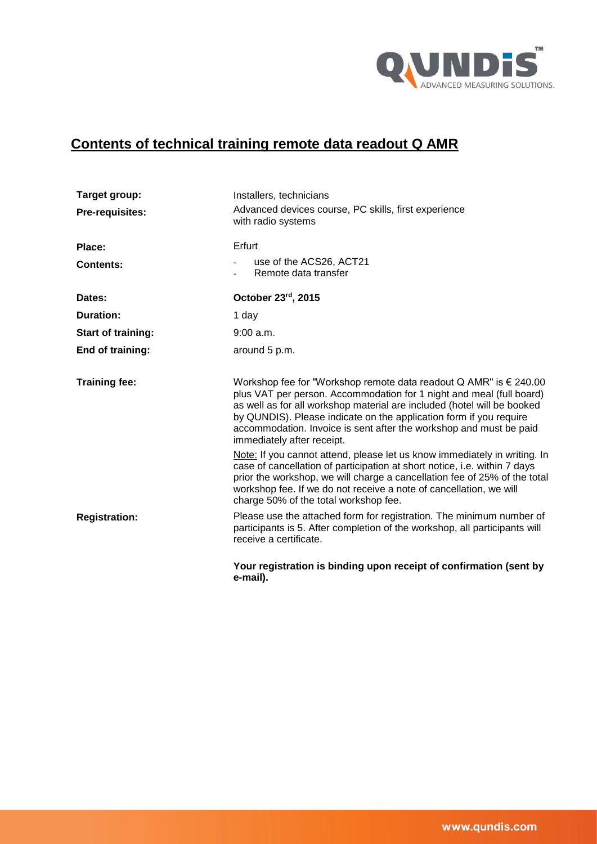

# **Contents of technical training remote data readout Q AMR**

| Target group:             | Installers, technicians                                                                                                                                                                                                                                                                                                                                                                                 |  |  |
|---------------------------|---------------------------------------------------------------------------------------------------------------------------------------------------------------------------------------------------------------------------------------------------------------------------------------------------------------------------------------------------------------------------------------------------------|--|--|
| <b>Pre-requisites:</b>    | Advanced devices course, PC skills, first experience<br>with radio systems                                                                                                                                                                                                                                                                                                                              |  |  |
| Place:                    | Erfurt                                                                                                                                                                                                                                                                                                                                                                                                  |  |  |
| <b>Contents:</b>          | use of the ACS26, ACT21<br>Remote data transfer                                                                                                                                                                                                                                                                                                                                                         |  |  |
| Dates:                    | October 23rd, 2015                                                                                                                                                                                                                                                                                                                                                                                      |  |  |
| Duration:                 | 1 day                                                                                                                                                                                                                                                                                                                                                                                                   |  |  |
| <b>Start of training:</b> | 9:00 a.m.                                                                                                                                                                                                                                                                                                                                                                                               |  |  |
| End of training:          | around 5 p.m.                                                                                                                                                                                                                                                                                                                                                                                           |  |  |
| <b>Training fee:</b>      | Workshop fee for "Workshop remote data readout Q AMR" is $\epsilon$ 240.00<br>plus VAT per person. Accommodation for 1 night and meal (full board)<br>as well as for all workshop material are included (hotel will be booked<br>by QUNDIS). Please indicate on the application form if you require<br>accommodation. Invoice is sent after the workshop and must be paid<br>immediately after receipt. |  |  |
|                           | Note: If you cannot attend, please let us know immediately in writing. In<br>case of cancellation of participation at short notice, i.e. within 7 days<br>prior the workshop, we will charge a cancellation fee of 25% of the total<br>workshop fee. If we do not receive a note of cancellation, we will<br>charge 50% of the total workshop fee.                                                      |  |  |
| <b>Registration:</b>      | Please use the attached form for registration. The minimum number of<br>participants is 5. After completion of the workshop, all participants will<br>receive a certificate.                                                                                                                                                                                                                            |  |  |
|                           | Your registration is binding upon receipt of confirmation (sent by<br>e-mail).                                                                                                                                                                                                                                                                                                                          |  |  |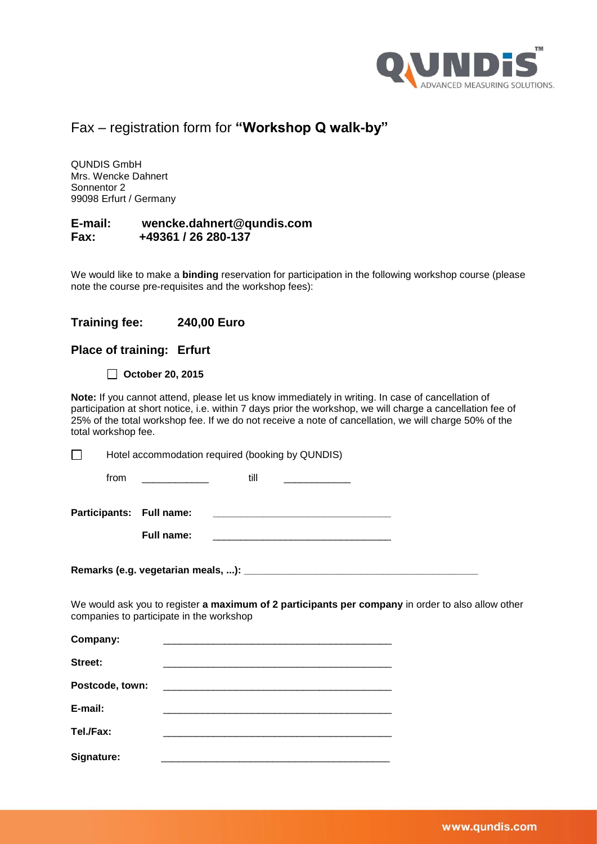

### Fax – registration form for **"Workshop Q walk-by"**

QUNDIS GmbH Mrs. Wencke Dahnert Sonnentor 2 99098 Erfurt / Germany

#### **E-mail: wencke.dahnert@qundis.com Fax: +49361 / 26 280-137**

We would like to make a **binding** reservation for participation in the following workshop course (please note the course pre-requisites and the workshop fees):

#### **Training fee: 240,00 Euro**

#### **Place of training: Erfurt**

**October 20, 2015**

**Note:** If you cannot attend, please let us know immediately in writing. In case of cancellation of participation at short notice, i.e. within 7 days prior the workshop, we will charge a cancellation fee of 25% of the total workshop fee. If we do not receive a note of cancellation, we will charge 50% of the total workshop fee.

 $\Box$ Hotel accommodation required (booking by QUNDIS)

| Participants: Full name: |  |  |
|--------------------------|--|--|
|--------------------------|--|--|

**Remarks (e.g. vegetarian meals, ...): \_\_\_\_\_\_\_\_\_\_\_\_\_\_\_\_\_\_\_\_\_\_\_\_\_\_\_\_\_\_\_\_\_\_\_\_\_\_\_\_\_\_**

We would ask you to register **a maximum of 2 participants per company** in order to also allow other companies to participate in the workshop

| Company:        |  |  |
|-----------------|--|--|
| Street:         |  |  |
| Postcode, town: |  |  |
| E-mail:         |  |  |
| Tel./Fax:       |  |  |
| Signature:      |  |  |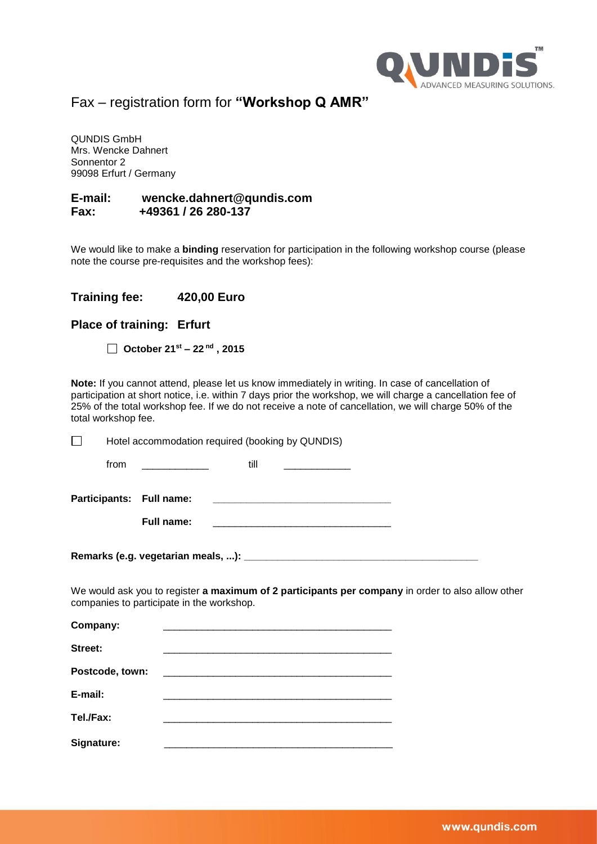

Fax – registration form for **"Workshop Q AMR"**

QUNDIS GmbH Mrs. Wencke Dahnert Sonnentor 2 99098 Erfurt / Germany

#### **E-mail: wencke.dahnert@qundis.com Fax: +49361 / 26 280-137**

We would like to make a **binding** reservation for participation in the following workshop course (please note the course pre-requisites and the workshop fees):

#### **Training fee: 420,00 Euro**

#### **Place of training: Erfurt**

| October $21^{st}$ – $22^{nd}$ , 2015 |  |  |  |
|--------------------------------------|--|--|--|
|--------------------------------------|--|--|--|

**Note:** If you cannot attend, please let us know immediately in writing. In case of cancellation of participation at short notice, i.e. within 7 days prior the workshop, we will charge a cancellation fee of 25% of the total workshop fee. If we do not receive a note of cancellation, we will charge 50% of the total workshop fee.

Hotel accommodation required (booking by QUNDIS)  $\Box$ from \_\_\_\_\_\_\_\_\_\_\_\_ till \_\_\_\_\_\_\_\_\_\_\_\_ **Participants: Full name: \_\_\_\_\_\_\_\_\_\_\_\_\_\_\_\_\_\_\_\_\_\_\_\_\_\_\_\_\_\_\_\_ Full name:** Remarks (e.g. vegetarian meals, ...): We would ask you to register **a maximum of 2 participants per company** in order to also allow other companies to participate in the workshop. Company: **Street:** \_\_\_\_\_\_\_\_\_\_\_\_\_\_\_\_\_\_\_\_\_\_\_\_\_\_\_\_\_\_\_\_\_\_\_\_\_\_\_\_\_ Postcode, town: **E-mail:** \_\_\_\_\_\_\_\_\_\_\_\_\_\_\_\_\_\_\_\_\_\_\_\_\_\_\_\_\_\_\_\_\_\_\_\_\_\_\_\_\_ Tel./Fax:

Signature: